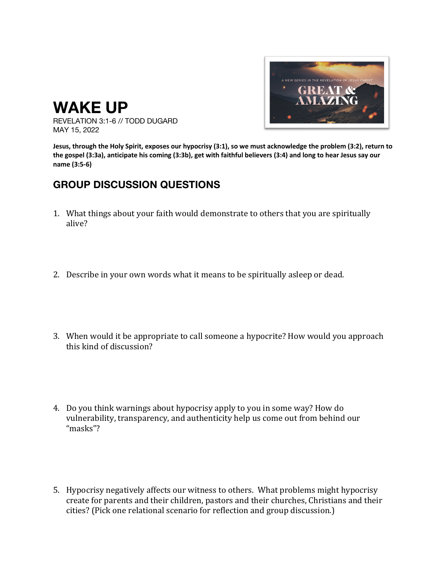

REVELATION 3:1-6 // TODD DUGARD MAY 15, 2022

**WAKE UP**

**Jesus, through the Holy Spirit, exposes our hypocrisy (3:1), so we must acknowledge the problem (3:2), return to the gospel (3:3a), anticipate his coming (3:3b), get with faithful believers (3:4) and long to hear Jesus say our name (3:5-6)**

## **GROUP DISCUSSION QUESTIONS**

- 1. What things about your faith would demonstrate to others that you are spiritually alive?
- 2. Describe in your own words what it means to be spiritually asleep or dead.
- 3. When would it be appropriate to call someone a hypocrite? How would you approach this kind of discussion?
- 4. Do you think warnings about hypocrisy apply to you in some way? How do vulnerability, transparency, and authenticity help us come out from behind our "masks"?
- 5. Hypocrisy negatively affects our witness to others. What problems might hypocrisy create for parents and their children, pastors and their churches, Christians and their cities? (Pick one relational scenario for reflection and group discussion.)